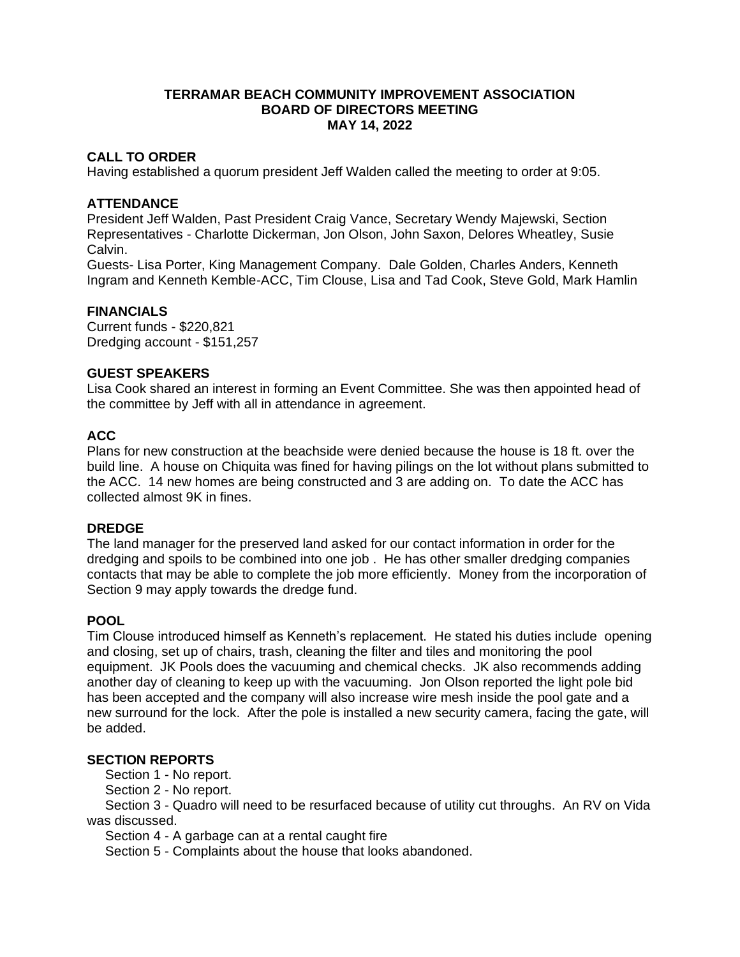#### **TERRAMAR BEACH COMMUNITY IMPROVEMENT ASSOCIATION BOARD OF DIRECTORS MEETING MAY 14, 2022**

## **CALL TO ORDER**

Having established a quorum president Jeff Walden called the meeting to order at 9:05.

### **ATTENDANCE**

President Jeff Walden, Past President Craig Vance, Secretary Wendy Majewski, Section Representatives - Charlotte Dickerman, Jon Olson, John Saxon, Delores Wheatley, Susie Calvin.

Guests- Lisa Porter, King Management Company. Dale Golden, Charles Anders, Kenneth Ingram and Kenneth Kemble-ACC, Tim Clouse, Lisa and Tad Cook, Steve Gold, Mark Hamlin

## **FINANCIALS**

Current funds - \$220,821 Dredging account - \$151,257

#### **GUEST SPEAKERS**

Lisa Cook shared an interest in forming an Event Committee. She was then appointed head of the committee by Jeff with all in attendance in agreement.

# **ACC**

Plans for new construction at the beachside were denied because the house is 18 ft. over the build line. A house on Chiquita was fined for having pilings on the lot without plans submitted to the ACC. 14 new homes are being constructed and 3 are adding on. To date the ACC has collected almost 9K in fines.

#### **DREDGE**

The land manager for the preserved land asked for our contact information in order for the dredging and spoils to be combined into one job . He has other smaller dredging companies contacts that may be able to complete the job more efficiently. Money from the incorporation of Section 9 may apply towards the dredge fund.

#### **POOL**

Tim Clouse introduced himself as Kenneth's replacement. He stated his duties include opening and closing, set up of chairs, trash, cleaning the filter and tiles and monitoring the pool equipment. JK Pools does the vacuuming and chemical checks. JK also recommends adding another day of cleaning to keep up with the vacuuming. Jon Olson reported the light pole bid has been accepted and the company will also increase wire mesh inside the pool gate and a new surround for the lock. After the pole is installed a new security camera, facing the gate, will be added.

#### **SECTION REPORTS**

Section 1 - No report.

Section 2 - No report.

 Section 3 - Quadro will need to be resurfaced because of utility cut throughs. An RV on Vida was discussed.

Section 4 - A garbage can at a rental caught fire

Section 5 - Complaints about the house that looks abandoned.